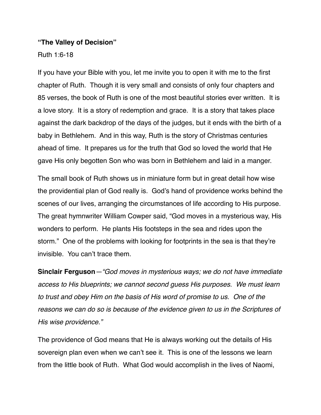#### **"The Valley of Decision"**

Ruth 1:6-18

If you have your Bible with you, let me invite you to open it with me to the first chapter of Ruth. Though it is very small and consists of only four chapters and 85 verses, the book of Ruth is one of the most beautiful stories ever written. It is a love story. It is a story of redemption and grace. It is a story that takes place against the dark backdrop of the days of the judges, but it ends with the birth of a baby in Bethlehem. And in this way, Ruth is the story of Christmas centuries ahead of time. It prepares us for the truth that God so loved the world that He gave His only begotten Son who was born in Bethlehem and laid in a manger.

The small book of Ruth shows us in miniature form but in great detail how wise the providential plan of God really is. God's hand of providence works behind the scenes of our lives, arranging the circumstances of life according to His purpose. The great hymnwriter William Cowper said, "God moves in a mysterious way, His wonders to perform. He plants His footsteps in the sea and rides upon the storm." One of the problems with looking for footprints in the sea is that they're invisible. You can't trace them.

**Sinclair Ferguson***—"God moves in mysterious ways; we do not have immediate access to His blueprints; we cannot second guess His purposes. We must learn to trust and obey Him on the basis of His word of promise to us. One of the reasons we can do so is because of the evidence given to us in the Scriptures of His wise providence."*

The providence of God means that He is always working out the details of His sovereign plan even when we can't see it. This is one of the lessons we learn from the little book of Ruth. What God would accomplish in the lives of Naomi,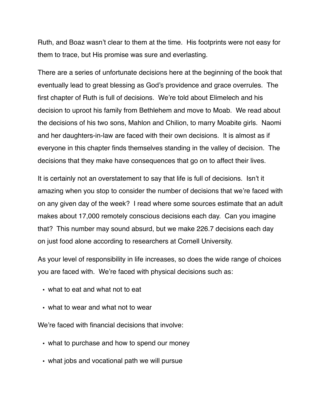Ruth, and Boaz wasn't clear to them at the time. His footprints were not easy for them to trace, but His promise was sure and everlasting.

There are a series of unfortunate decisions here at the beginning of the book that eventually lead to great blessing as God's providence and grace overrules. The first chapter of Ruth is full of decisions. We're told about Elimelech and his decision to uproot his family from Bethlehem and move to Moab. We read about the decisions of his two sons, Mahlon and Chilion, to marry Moabite girls. Naomi and her daughters-in-law are faced with their own decisions. It is almost as if everyone in this chapter finds themselves standing in the valley of decision. The decisions that they make have consequences that go on to affect their lives.

It is certainly not an overstatement to say that life is full of decisions. Isn't it amazing when you stop to consider the number of decisions that we're faced with on any given day of the week? I read where some sources estimate that an adult makes about 17,000 remotely conscious decisions each day. Can you imagine that? This number may sound absurd, but we make 226.7 decisions each day on just food alone according to researchers at Cornell University.

As your level of responsibility in life increases, so does the wide range of choices you are faced with. We're faced with physical decisions such as:

- what to eat and what not to eat
- what to wear and what not to wear

We're faced with financial decisions that involve:

- what to purchase and how to spend our money
- what jobs and vocational path we will pursue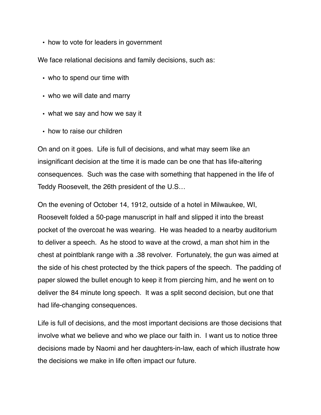• how to vote for leaders in government

We face relational decisions and family decisions, such as:

- who to spend our time with
- who we will date and marry
- what we say and how we say it
- how to raise our children

On and on it goes. Life is full of decisions, and what may seem like an insignificant decision at the time it is made can be one that has life-altering consequences. Such was the case with something that happened in the life of Teddy Roosevelt, the 26th president of the U.S…

On the evening of October 14, 1912, outside of a hotel in Milwaukee, WI, Roosevelt folded a 50-page manuscript in half and slipped it into the breast pocket of the overcoat he was wearing. He was headed to a nearby auditorium to deliver a speech. As he stood to wave at the crowd, a man shot him in the chest at pointblank range with a .38 revolver. Fortunately, the gun was aimed at the side of his chest protected by the thick papers of the speech. The padding of paper slowed the bullet enough to keep it from piercing him, and he went on to deliver the 84 minute long speech. It was a split second decision, but one that had life-changing consequences.

Life is full of decisions, and the most important decisions are those decisions that involve what we believe and who we place our faith in. I want us to notice three decisions made by Naomi and her daughters-in-law, each of which illustrate how the decisions we make in life often impact our future.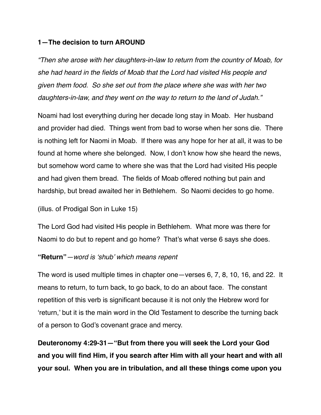## **1—The decision to turn AROUND**

*"Then she arose with her daughters-in-law to return from the country of Moab, for she had heard in the fields of Moab that the Lord had visited His people and given them food. So she set out from the place where she was with her two daughters-in-law, and they went on the way to return to the land of Judah."*

Noami had lost everything during her decade long stay in Moab. Her husband and provider had died. Things went from bad to worse when her sons die. There is nothing left for Naomi in Moab. If there was any hope for her at all, it was to be found at home where she belonged. Now, I don't know how she heard the news, but somehow word came to where she was that the Lord had visited His people and had given them bread. The fields of Moab offered nothing but pain and hardship, but bread awaited her in Bethlehem. So Naomi decides to go home.

(illus. of Prodigal Son in Luke 15)

The Lord God had visited His people in Bethlehem. What more was there for Naomi to do but to repent and go home? That's what verse 6 says she does.

## **"Return"***—word is 'shub' which means repent*

The word is used multiple times in chapter one—verses 6, 7, 8, 10, 16, and 22. It means to return, to turn back, to go back, to do an about face. The constant repetition of this verb is significant because it is not only the Hebrew word for 'return,' but it is the main word in the Old Testament to describe the turning back of a person to God's covenant grace and mercy.

**Deuteronomy 4:29-31—"But from there you will seek the Lord your God and you will find Him, if you search after Him with all your heart and with all your soul. When you are in tribulation, and all these things come upon you**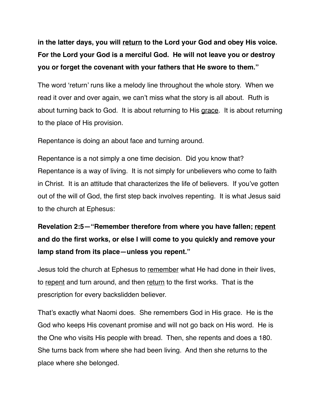**in the latter days, you will return to the Lord your God and obey His voice. For the Lord your God is a merciful God. He will not leave you or destroy you or forget the covenant with your fathers that He swore to them."**

The word 'return' runs like a melody line throughout the whole story. When we read it over and over again, we can't miss what the story is all about. Ruth is about turning back to God. It is about returning to His grace. It is about returning to the place of His provision.

Repentance is doing an about face and turning around.

Repentance is a not simply a one time decision. Did you know that? Repentance is a way of living. It is not simply for unbelievers who come to faith in Christ. It is an attitude that characterizes the life of believers. If you've gotten out of the will of God, the first step back involves repenting. It is what Jesus said to the church at Ephesus:

**Revelation 2:5—"Remember therefore from where you have fallen; repent and do the first works, or else I will come to you quickly and remove your lamp stand from its place—unless you repent."**

Jesus told the church at Ephesus to remember what He had done in their lives, to repent and turn around, and then return to the first works. That is the prescription for every backslidden believer.

That's exactly what Naomi does. She remembers God in His grace. He is the God who keeps His covenant promise and will not go back on His word. He is the One who visits His people with bread. Then, she repents and does a 180. She turns back from where she had been living. And then she returns to the place where she belonged.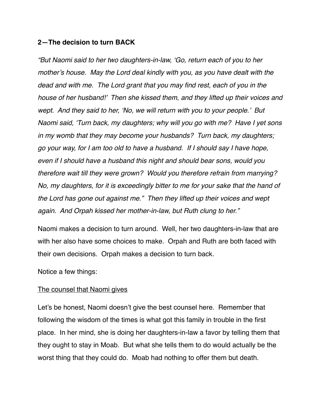### **2—The decision to turn BACK**

*"But Naomi said to her two daughters-in-law, 'Go, return each of you to her mother's house. May the Lord deal kindly with you, as you have dealt with the dead and with me. The Lord grant that you may find rest, each of you in the house of her husband!' Then she kissed them, and they lifted up their voices and wept. And they said to her, 'No, we will return with you to your people.' But Naomi said, 'Turn back, my daughters; why will you go with me? Have I yet sons in my womb that they may become your husbands? Turn back, my daughters; go your way, for I am too old to have a husband. If I should say I have hope, even if I should have a husband this night and should bear sons, would you therefore wait till they were grown? Would you therefore refrain from marrying? No, my daughters, for it is exceedingly bitter to me for your sake that the hand of the Lord has gone out against me." Then they lifted up their voices and wept again. And Orpah kissed her mother-in-law, but Ruth clung to her."*

Naomi makes a decision to turn around. Well, her two daughters-in-law that are with her also have some choices to make. Orpah and Ruth are both faced with their own decisions. Orpah makes a decision to turn back.

Notice a few things:

### The counsel that Naomi gives

Let's be honest, Naomi doesn't give the best counsel here. Remember that following the wisdom of the times is what got this family in trouble in the first place. In her mind, she is doing her daughters-in-law a favor by telling them that they ought to stay in Moab. But what she tells them to do would actually be the worst thing that they could do. Moab had nothing to offer them but death.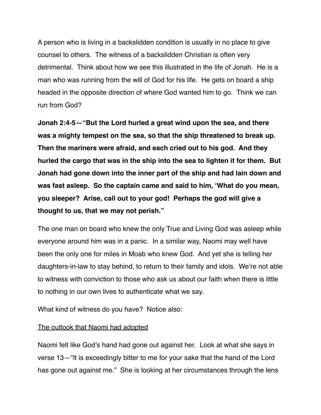A person who is living in a backslidden condition is usually in no place to give counsel to others. The witness of a backslidden Christian is often very detrimental. Think about how we see this illustrated in the life of Jonah. He is a man who was running from the will of God for his life. He gets on board a ship headed in the opposite direction of where God wanted him to go. Think we can run from God?

**Jonah 2:4-5—"But the Lord hurled a great wind upon the sea, and there was a mighty tempest on the sea, so that the ship threatened to break up. Then the mariners were afraid, and each cried out to his god. And they hurled the cargo that was in the ship into the sea to lighten it for them. But Jonah had gone down into the inner part of the ship and had lain down and was fast asleep. So the captain came and said to him, 'What do you mean, you sleeper? Arise, call out to your god! Perhaps the god will give a thought to us, that we may not perish."**

The one man on board who knew the only True and Living God was asleep while everyone around him was in a panic. In a similar way, Naomi may well have been the only one for miles in Moab who knew God. And yet she is telling her daughters-in-law to stay behind, to return to their family and idols. We're not able to witness with conviction to those who ask us about our faith when there is little to nothing in our own lives to authenticate what we say.

What kind of witness do you have? Notice also:

### The outlook that Naomi had adopted

Naomi felt like God's hand had gone out against her. Look at what she says in verse 13—"It is exceedingly bitter to me for your sake that the hand of the Lord has gone out against me." She is looking at her circumstances through the lens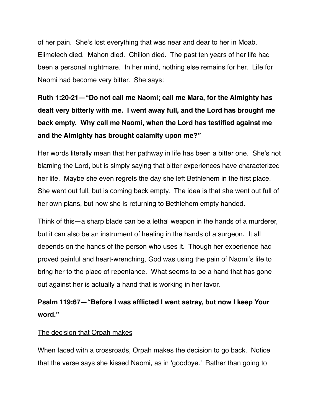of her pain. She's lost everything that was near and dear to her in Moab. Elimelech died. Mahon died. Chilion died. The past ten years of her life had been a personal nightmare. In her mind, nothing else remains for her. Life for Naomi had become very bitter. She says:

**Ruth 1:20-21—"Do not call me Naomi; call me Mara, for the Almighty has dealt very bitterly with me. I went away full, and the Lord has brought me back empty. Why call me Naomi, when the Lord has testified against me and the Almighty has brought calamity upon me?"**

Her words literally mean that her pathway in life has been a bitter one. She's not blaming the Lord, but is simply saying that bitter experiences have characterized her life. Maybe she even regrets the day she left Bethlehem in the first place. She went out full, but is coming back empty. The idea is that she went out full of her own plans, but now she is returning to Bethlehem empty handed.

Think of this—a sharp blade can be a lethal weapon in the hands of a murderer, but it can also be an instrument of healing in the hands of a surgeon. It all depends on the hands of the person who uses it. Though her experience had proved painful and heart-wrenching, God was using the pain of Naomi's life to bring her to the place of repentance. What seems to be a hand that has gone out against her is actually a hand that is working in her favor.

# **Psalm 119:67—"Before I was afflicted I went astray, but now I keep Your word."**

## The decision that Orpah makes

When faced with a crossroads, Orpah makes the decision to go back. Notice that the verse says she kissed Naomi, as in 'goodbye.' Rather than going to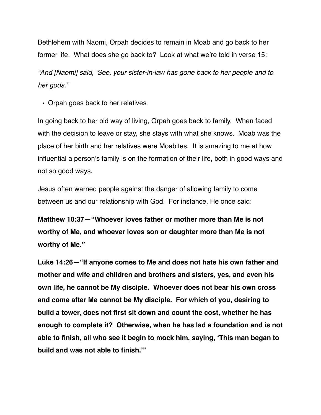Bethlehem with Naomi, Orpah decides to remain in Moab and go back to her former life. What does she go back to? Look at what we're told in verse 15:

*"And [Naomi] said, 'See, your sister-in-law has gone back to her people and to her gods."*

• Orpah goes back to her relatives

In going back to her old way of living, Orpah goes back to family. When faced with the decision to leave or stay, she stays with what she knows. Moab was the place of her birth and her relatives were Moabites. It is amazing to me at how influential a person's family is on the formation of their life, both in good ways and not so good ways.

Jesus often warned people against the danger of allowing family to come between us and our relationship with God. For instance, He once said:

**Matthew 10:37—"Whoever loves father or mother more than Me is not worthy of Me, and whoever loves son or daughter more than Me is not worthy of Me."**

**Luke 14:26—"If anyone comes to Me and does not hate his own father and mother and wife and children and brothers and sisters, yes, and even his own life, he cannot be My disciple. Whoever does not bear his own cross and come after Me cannot be My disciple. For which of you, desiring to build a tower, does not first sit down and count the cost, whether he has enough to complete it? Otherwise, when he has lad a foundation and is not able to finish, all who see it begin to mock him, saying, 'This man began to build and was not able to finish.'"**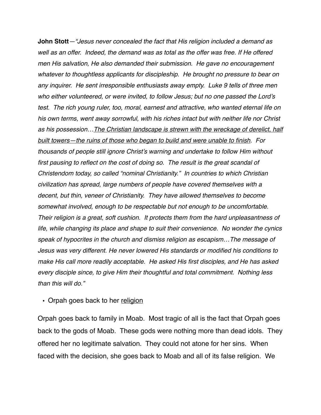**John Stott***—"Jesus never concealed the fact that His religion included a demand as well as an offer. Indeed, the demand was as total as the offer was free. If He offered men His salvation, He also demanded their submission. He gave no encouragement whatever to thoughtless applicants for discipleship. He brought no pressure to bear on any inquirer. He sent irresponsible enthusiasts away empty. Luke 9 tells of three men who either volunteered, or were invited, to follow Jesus; but no one passed the Lord's test. The rich young ruler, too, moral, earnest and attractive, who wanted eternal life on his own terms, went away sorrowful, with his riches intact but with neither life nor Christ as his possession…The Christian landscape is strewn with the wreckage of derelict, half built towers—the ruins of those who began to build and were unable to finish. For thousands of people still ignore Christ's warning and undertake to follow Him without first pausing to reflect on the cost of doing so. The result is the great scandal of Christendom today, so called "nominal Christianity." In countries to which Christian civilization has spread, large numbers of people have covered themselves with a decent, but thin, veneer of Christianity. They have allowed themselves to become somewhat involved, enough to be respectable but not enough to be uncomfortable. Their religion is a great, soft cushion. It protects them from the hard unpleasantness of life, while changing its place and shape to suit their convenience. No wonder the cynics speak of hypocrites in the church and dismiss religion as escapism…The message of Jesus was very different. He never lowered His standards or modified his conditions to make His call more readily acceptable. He asked His first disciples, and He has asked every disciple since, to give Him their thoughtful and total commitment. Nothing less than this will do."*

### • Orpah goes back to her religion

Orpah goes back to family in Moab. Most tragic of all is the fact that Orpah goes back to the gods of Moab. These gods were nothing more than dead idols. They offered her no legitimate salvation. They could not atone for her sins. When faced with the decision, she goes back to Moab and all of its false religion. We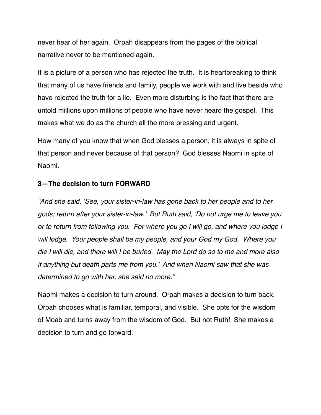never hear of her again. Orpah disappears from the pages of the biblical narrative never to be mentioned again.

It is a picture of a person who has rejected the truth. It is heartbreaking to think that many of us have friends and family, people we work with and live beside who have rejected the truth for a lie. Even more disturbing is the fact that there are untold millions upon millions of people who have never heard the gospel. This makes what we do as the church all the more pressing and urgent.

How many of you know that when God blesses a person, it is always in spite of that person and never because of that person? God blesses Naomi in spite of Naomi.

# **3—The decision to turn FORWARD**

*"And she said, 'See, your sister-in-law has gone back to her people and to her gods; return after your sister-in-law.' But Ruth said, 'Do not urge me to leave you or to return from following you. For where you go I will go, and where you lodge I will lodge. Your people shall be my people, and your God my God. Where you die I will die, and there will I be buried. May the Lord do so to me and more also if anything but death parts me from you.' And when Naomi saw that she was determined to go with her, she said no more."*

Naomi makes a decision to turn around. Orpah makes a decision to turn back. Orpah chooses what is familiar, temporal, and visible. She opts for the wisdom of Moab and turns away from the wisdom of God. But not Ruth! She makes a decision to turn and go forward.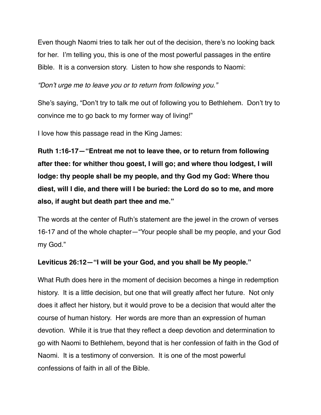Even though Naomi tries to talk her out of the decision, there's no looking back for her. I'm telling you, this is one of the most powerful passages in the entire Bible. It is a conversion story. Listen to how she responds to Naomi:

*"Don't urge me to leave you or to return from following you."*

She's saying, "Don't try to talk me out of following you to Bethlehem. Don't try to convince me to go back to my former way of living!"

I love how this passage read in the King James:

**Ruth 1:16-17—"Entreat me not to leave thee, or to return from following after thee: for whither thou goest, I will go; and where thou lodgest, I will lodge: thy people shall be my people, and thy God my God: Where thou diest, will I die, and there will I be buried: the Lord do so to me, and more also, if aught but death part thee and me."**

The words at the center of Ruth's statement are the jewel in the crown of verses 16-17 and of the whole chapter—"Your people shall be my people, and your God my God."

# **Leviticus 26:12—"I will be your God, and you shall be My people."**

What Ruth does here in the moment of decision becomes a hinge in redemption history. It is a little decision, but one that will greatly affect her future. Not only does it affect her history, but it would prove to be a decision that would alter the course of human history. Her words are more than an expression of human devotion. While it is true that they reflect a deep devotion and determination to go with Naomi to Bethlehem, beyond that is her confession of faith in the God of Naomi. It is a testimony of conversion. It is one of the most powerful confessions of faith in all of the Bible.